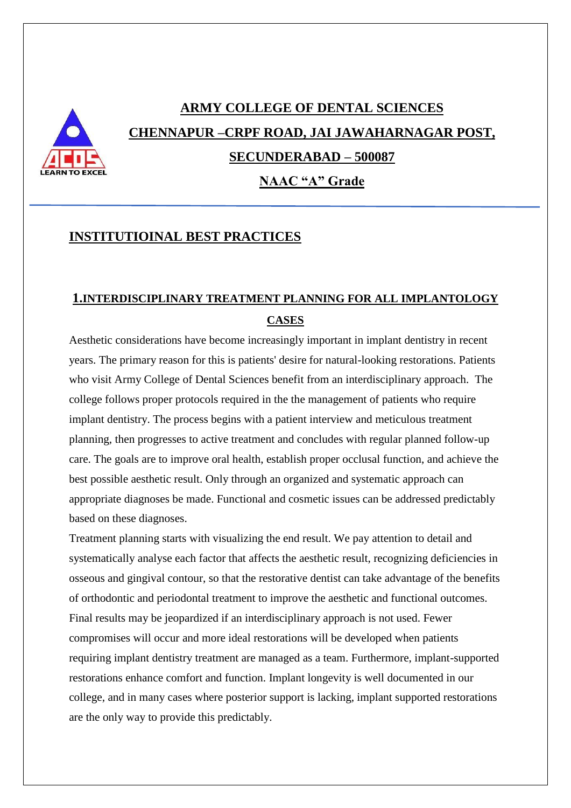# **ARMY COLLEGE OF DENTAL SCIENCES CHENNAPUR –CRPF ROAD, JAI JAWAHARNAGAR POST, SECUNDERABAD – 500087**

**NAAC "A" Grade**

### **INSTITUTIOINAL BEST PRACTICES**

## **1.INTERDISCIPLINARY TREATMENT PLANNING FOR ALL IMPLANTOLOGY CASES**

Aesthetic considerations have become increasingly important in implant dentistry in recent years. The primary reason for this is patients' desire for natural-looking restorations. Patients who visit Army College of Dental Sciences benefit from an interdisciplinary approach. The college follows proper protocols required in the the management of patients who require implant dentistry. The process begins with a patient interview and meticulous treatment planning, then progresses to active treatment and concludes with regular planned follow-up care. The goals are to improve oral health, establish proper occlusal function, and achieve the best possible aesthetic result. Only through an organized and systematic approach can appropriate diagnoses be made. Functional and cosmetic issues can be addressed predictably based on these diagnoses.

Treatment planning starts with visualizing the end result. We pay attention to detail and systematically analyse each factor that affects the aesthetic result, recognizing deficiencies in osseous and gingival contour, so that the restorative dentist can take advantage of the benefits of orthodontic and periodontal treatment to improve the aesthetic and functional outcomes. Final results may be jeopardized if an interdisciplinary approach is not used. Fewer compromises will occur and more ideal restorations will be developed when patients requiring implant dentistry treatment are managed as a team. Furthermore, implant-supported restorations enhance comfort and function. Implant longevity is well documented in our college, and in many cases where posterior support is lacking, implant supported restorations are the only way to provide this predictably.